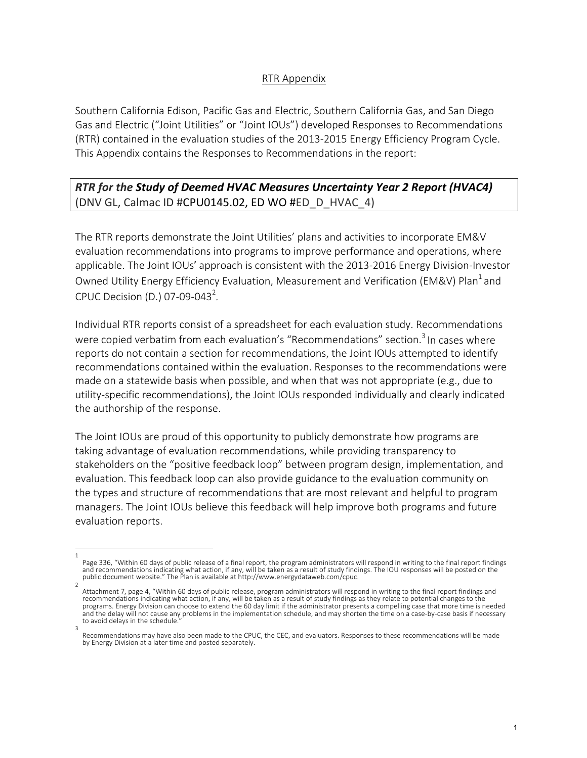## RTR Appendix

Southern California Edison, Pacific Gas and Electric, Southern California Gas, and San Diego Gas and Electric ("Joint Utilities" or "Joint IOUs") developed Responses to Recommendations (RTR) contained in the evaluation studies of the 2013-2015 Energy Efficiency Program Cycle. This Appendix contains the Responses to Recommendations in the report:

## **RTR** for the Study of Deemed HVAC Measures Uncertainty Year 2 Report (HVAC4) (DNV GL, Calmac ID #CPU0145.02, ED WO #ED\_D\_HVAC\_4)

The RTR reports demonstrate the Joint Utilities' plans and activities to incorporate EM&V evaluation recommendations into programs to improve performance and operations, where applicable. The Joint IOUs' approach is consistent with the 2013-2016 Energy Division-Investor Owned Utility Energy Efficiency Evaluation, Measurement and Verification (EM&V) Plan<sup>1</sup> and CPUC Decision (D.) 07-09-043<sup>2</sup>.

Individual RTR reports consist of a spreadsheet for each evaluation study. Recommendations were copied verbatim from each evaluation's "Recommendations" section.<sup>3</sup> In cases where reports do not contain a section for recommendations, the Joint IOUs attempted to identify recommendations contained within the evaluation. Responses to the recommendations were made on a statewide basis when possible, and when that was not appropriate  $(e.g., die to$ utility-specific recommendations), the Joint IOUs responded individually and clearly indicated the authorship of the response.

The Joint IOUs are proud of this opportunity to publicly demonstrate how programs are taking advantage of evaluation recommendations, while providing transparency to stakeholders on the "positive feedback loop" between program design, implementation, and evaluation. This feedback loop can also provide guidance to the evaluation community on the types and structure of recommendations that are most relevant and helpful to program managers. The Joint IOUs believe this feedback will help improve both programs and future evaluation reports.

<sup>1</sup>  Page 336, "Within 60 days of public release of a final report, the program administrators will respond in writing to the final report findings and recommendations indicating what action, if any, will be taken as a result of study findings. The IOU responses will be posted on the public document website." The Plan is available at http://www.energydataweb.com/cpuc.

<sup>2</sup>  Attachment 7, page 4, "Within 60 days of public release, program administrators will respond in writing to the final report findings and recommendations indicating what action, if any, will be taken as a result of study findings as they relate to potential changes to the programs. Energy Division can choose to extend the 60 day limit if the administrator presents a compelling case that more time is needed and the delay will not cause any problems in the implementation schedule, and may shorten the time on a case-by-case basis if necessary to avoid delays in the schedule. 3 

Recommendations may have also been made to the CPUC, the CEC, and evaluators. Responses to these recommendations will be made by Energy Division at a later time and posted separately.